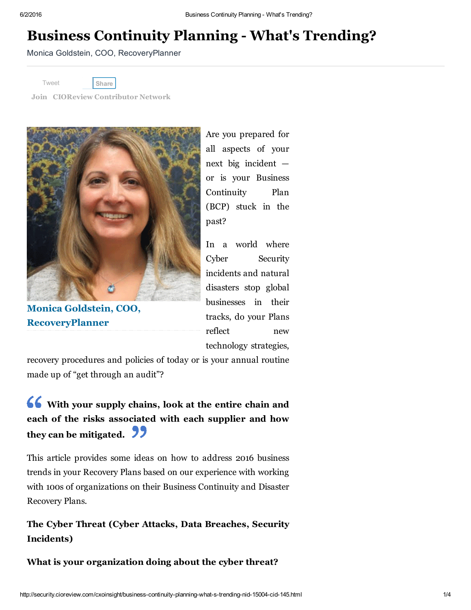# Business Continuity Planning - What's Trending?

Monica Goldstein, COO, RecoveryPlanner

[Tweet](https://twitter.com/share)

[Share](javascript:void(0);)

Join CIOReview [Contributor](http://www.cioreview.com/contributor/) Network



Monica Goldstein, COO, RecoveryPlanner

Are you prepared for all aspects of your next big incident or is your Business Continuity Plan (BCP) stuck in the past?

In a world where Cyber Security incidents and natural disasters stop global businesses in their tracks, do your Plans reflect new technology strategies,

recovery procedures and policies of today or is your annual routine made up of "get through an audit"?

# With your supply chains, look at the entire chain and each of the risks associated with each supplier and how they can be mitigated. **22**

This article provides some ideas on how to address 2016 business trends in your Recovery Plans based on our experience with working with 100s of organizations on their Business Continuity and Disaster Recovery Plans.

The Cyber Threat (Cyber Attacks, Data Breaches, Security Incidents)

What is your organization doing about the cyber threat?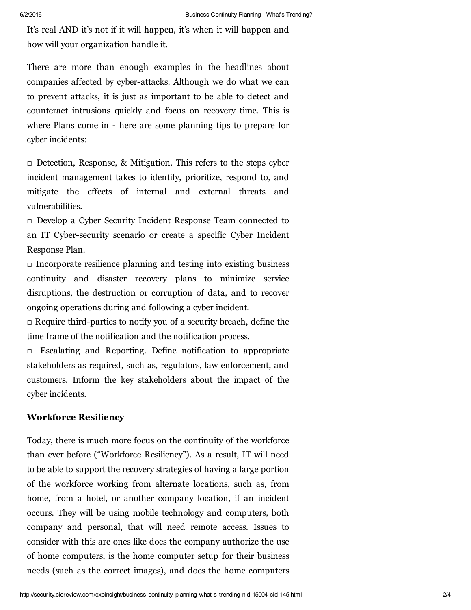It's real AND it's not if it will happen, it's when it will happen and how will your organization handle it.

There are more than enough examples in the headlines about companies affected by cyber-attacks. Although we do what we can to prevent attacks, it is just as important to be able to detect and counteract intrusions quickly and focus on recovery time. This is where Plans come in - here are some planning tips to prepare for cyber incidents:

 $\Box$  Detection, Response, & Mitigation. This refers to the steps cyber incident management takes to identify, prioritize, respond to, and mitigate the effects of internal and external threats and vulnerabilities.

□ Develop a Cyber Security Incident Response Team connected to an IT Cyber-security scenario or create a specific Cyber Incident Response Plan.

 $\Box$  Incorporate resilience planning and testing into existing business continuity and disaster recovery plans to minimize service disruptions, the destruction or corruption of data, and to recover ongoing operations during and following a cyber incident.

 $\Box$  Require third-parties to notify you of a security breach, define the time frame of the notification and the notification process.

□ Escalating and Reporting. Define notification to appropriate stakeholders as required, such as, regulators, law enforcement, and customers. Inform the key stakeholders about the impact of the cyber incidents.

# Workforce Resiliency

Today, there is much more focus on the continuity of the workforce than ever before ("Workforce Resiliency"). As a result, IT will need to be able to support the recovery strategies of having a large portion of the workforce working from alternate locations, such as, from home, from a hotel, or another company location, if an incident occurs. They will be using mobile technology and computers, both company and personal, that will need remote access. Issues to consider with this are ones like does the company authorize the use of home computers, is the home computer setup for their business needs (such as the correct images), and does the home computers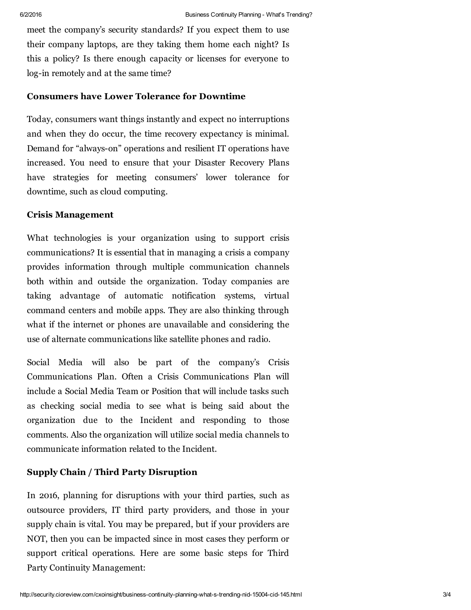meet the company's security standards? If you expect them to use their company laptops, are they taking them home each night? Is this a policy? Is there enough capacity or licenses for everyone to log-in remotely and at the same time?

#### Consumers have Lower Tolerance for Downtime

Today, consumers want things instantly and expect no interruptions and when they do occur, the time recovery expectancy is minimal. Demand for "always-on" operations and resilient IT operations have increased. You need to ensure that your Disaster Recovery Plans have strategies for meeting consumers' lower tolerance for downtime, such as cloud computing.

# Crisis Management

What technologies is your organization using to support crisis communications? It is essential that in managing a crisis a company provides information through multiple communication channels both within and outside the organization. Today companies are taking advantage of automatic notification systems, virtual command centers and mobile apps. They are also thinking through what if the internet or phones are unavailable and considering the use of alternate communications like satellite phones and radio.

Social Media will also be part of the company's Crisis Communications Plan. Often a Crisis Communications Plan will include a Social Media Team or Position that will include tasks such as checking social media to see what is being said about the organization due to the Incident and responding to those comments. Also the organization will utilize social media channels to communicate information related to the Incident.

## Supply Chain / Third Party Disruption

In 2016, planning for disruptions with your third parties, such as outsource providers, IT third party providers, and those in your supply chain is vital. You may be prepared, but if your providers are NOT, then you can be impacted since in most cases they perform or support critical operations. Here are some basic steps for Third Party Continuity Management: